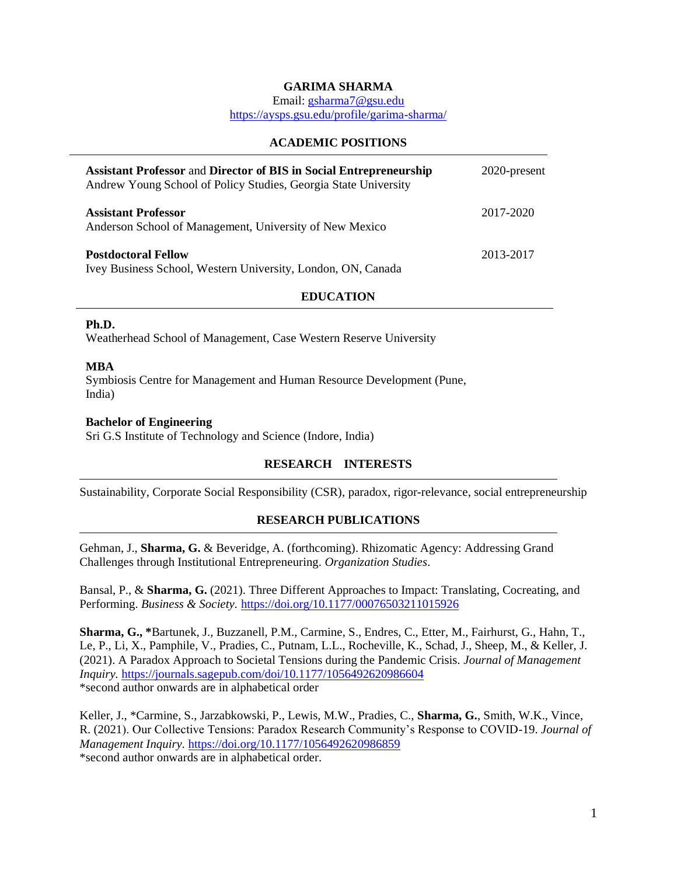# **GARIMA SHARMA**

Email: [gsharma7@gsu.edu](mailto:gsharma7@gsu.edu)

<https://aysps.gsu.edu/profile/garima-sharma/>

## **ACADEMIC POSITIONS**

| Assistant Professor and Director of BIS in Social Entrepreneurship<br>Andrew Young School of Policy Studies, Georgia State University | 2020-present |
|---------------------------------------------------------------------------------------------------------------------------------------|--------------|
| <b>Assistant Professor</b><br>Anderson School of Management, University of New Mexico                                                 | 2017-2020    |
| <b>Postdoctoral Fellow</b><br>Ivey Business School, Western University, London, ON, Canada                                            | 2013-2017    |

# **EDUCATION**

## **Ph.D.**

Weatherhead School of Management, Case Western Reserve University

## **MBA**

Symbiosis Centre for Management and Human Resource Development (Pune, India)

## **Bachelor of Engineering**

Sri G.S Institute of Technology and Science (Indore, India)

# **RESEARCH INTERESTS**

Sustainability, Corporate Social Responsibility (CSR), paradox, rigor-relevance, social entrepreneurship

# **RESEARCH PUBLICATIONS**

Gehman, J., **Sharma, G.** & Beveridge, A. (forthcoming). Rhizomatic Agency: Addressing Grand Challenges through Institutional Entrepreneuring. *Organization Studies*.

Bansal, P., & **Sharma, G.** (2021). Three Different Approaches to Impact: Translating, Cocreating, and Performing. *Business & Society.* <https://doi.org/10.1177/00076503211015926>

**Sharma, G., \***Bartunek, J., Buzzanell, P.M., Carmine, S., Endres, C., Etter, M., Fairhurst, G., Hahn, T., Le, P., Li, X., Pamphile, V., Pradies, C., Putnam, L.L., Rocheville, K., Schad, J., Sheep, M., & Keller, J. (2021). A Paradox Approach to Societal Tensions during the Pandemic Crisis. *Journal of Management Inquiry.* <https://journals.sagepub.com/doi/10.1177/1056492620986604> \*second author onwards are in alphabetical order

Keller, J., \*Carmine, S., Jarzabkowski, P., Lewis, M.W., Pradies, C., **Sharma, G.**, Smith, W.K., Vince, R. (2021). Our Collective Tensions: Paradox Research Community's Response to COVID-19. *Journal of Management Inquiry.* <https://doi.org/10.1177/1056492620986859> \*second author onwards are in alphabetical order.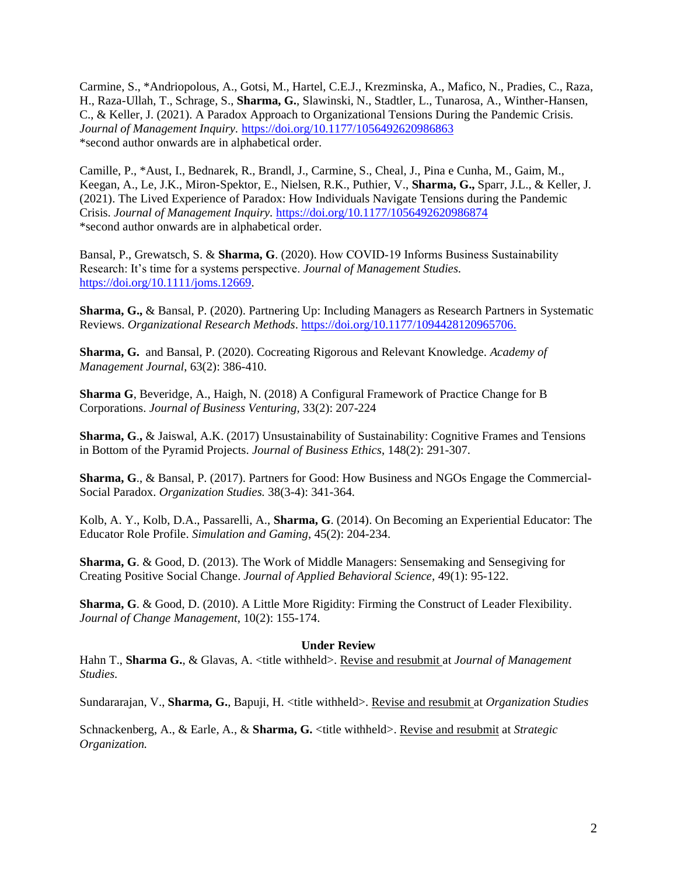Carmine, S., \*Andriopolous, A., Gotsi, M., Hartel, C.E.J., Krezminska, A., Mafico, N., Pradies, C., Raza, H., Raza-Ullah, T., Schrage, S., **Sharma, G.**, Slawinski, N., Stadtler, L., Tunarosa, A., Winther-Hansen, C., & Keller, J. (2021). A Paradox Approach to Organizational Tensions During the Pandemic Crisis. *Journal of Management Inquiry.* [https://doi.org/10.1177/1056492620986863](https://doi.org/10.1177%2F1056492620986863) \*second author onwards are in alphabetical order.

Camille, P., \*Aust, I., Bednarek, R., Brandl, J., Carmine, S., Cheal, J., Pina e Cunha, M., Gaim, M., Keegan, A., Le, J.K., Miron-Spektor, E., Nielsen, R.K., Puthier, V., **Sharma, G.,** Sparr, J.L., & Keller, J. (2021). The Lived Experience of Paradox: How Individuals Navigate Tensions during the Pandemic Crisis. *Journal of Management Inquiry.* [https://doi.org/10.1177/1056492620986874](https://doi.org/10.1177%2F1056492620986874) \*second author onwards are in alphabetical order.

Bansal, P., Grewatsch, S. & **Sharma, G**. (2020). How COVID‐19 Informs Business Sustainability Research: It's time for a systems perspective. *Journal of Management Studies.* [https://doi.org/10.1111/joms.12669.](https://doi.org/10.1111/joms.12669)

**Sharma, G.,** & Bansal, P. (2020). Partnering Up: Including Managers as Research Partners in Systematic Reviews. *Organizational Research Methods*. [https://doi.org/10.1177/1094428120965706.](https://doi.org/10.1177/1094428120965706)

**Sharma, G.** and Bansal, P. (2020). Cocreating Rigorous and Relevant Knowledge*. Academy of Management Journal*, 63(2): 386-410.

**Sharma G**, Beveridge, A., Haigh, N. (2018) A Configural Framework of Practice Change for B Corporations. *Journal of Business Venturing,* 33(2): 207-224

**Sharma, G**.**,** & Jaiswal, A.K. (2017) Unsustainability of Sustainability: Cognitive Frames and Tensions in Bottom of the Pyramid Projects. *Journal of Business Ethics*, 148(2): 291-307.

**Sharma, G**., & Bansal, P. (2017). Partners for Good: How Business and NGOs Engage the Commercial-Social Paradox. *Organization Studies.* 38(3-4): 341-364.

Kolb, A. Y., Kolb, D.A., Passarelli, A., **Sharma, G**. (2014). On Becoming an Experiential Educator: The Educator Role Profile. *Simulation and Gaming*, 45(2): 204-234.

**Sharma, G**. & Good, D. (2013). The Work of Middle Managers: Sensemaking and Sensegiving for Creating Positive Social Change. *Journal of Applied Behavioral Science,* 49(1): 95-122.

**Sharma, G**. & Good, D. (2010). A Little More Rigidity: Firming the Construct of Leader Flexibility. *Journal of Change Management*, 10(2): 155-174.

### **Under Review**

Hahn T., **Sharma G.**, & Glavas, A. <title withheld>. Revise and resubmit at *Journal of Management Studies.*

Sundararajan, V., **Sharma, G.**, Bapuji, H. <title withheld>. Revise and resubmit at *Organization Studies*

Schnackenberg, A., & Earle, A., & **Sharma, G.** <title withheld>. Revise and resubmit at *Strategic Organization.*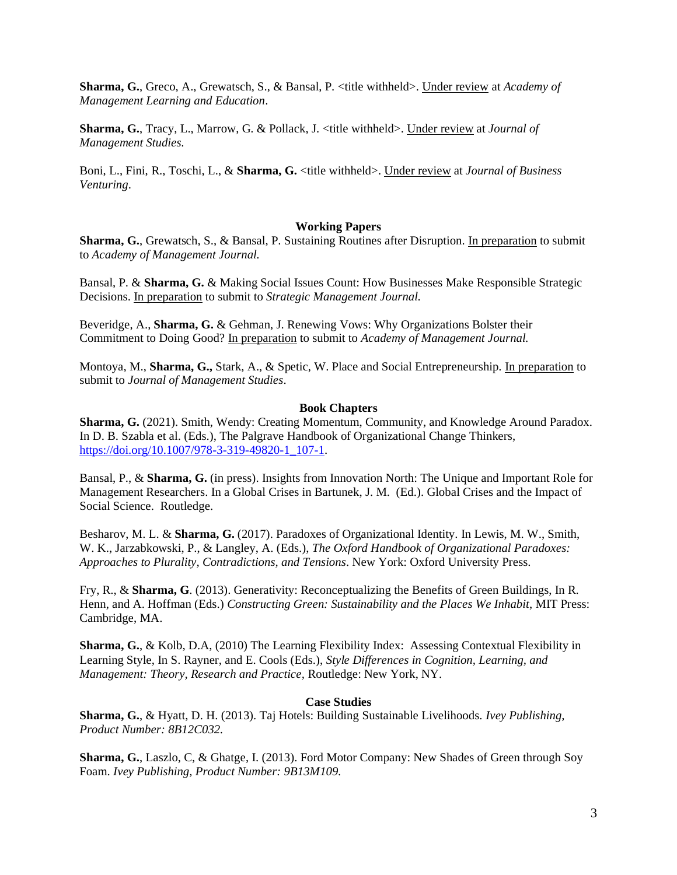**Sharma, G.**, Greco, A., Grewatsch, S., & Bansal, P. <title withheld>. Under review at *Academy of Management Learning and Education*.

**Sharma, G.**, Tracy, L., Marrow, G. & Pollack, J. <title withheld>. Under review at *Journal of Management Studies.*

Boni, L., Fini, R., Toschi, L., & **Sharma, G.** <title withheld>. Under review at *Journal of Business Venturing*.

#### **Working Papers**

**Sharma, G.**, Grewatsch, S., & Bansal, P. Sustaining Routines after Disruption. In preparation to submit to *Academy of Management Journal.* 

Bansal, P. & **Sharma, G.** & Making Social Issues Count: How Businesses Make Responsible Strategic Decisions. In preparation to submit to *Strategic Management Journal.*

Beveridge, A., **Sharma, G.** & Gehman, J. Renewing Vows: Why Organizations Bolster their Commitment to Doing Good? In preparation to submit to *Academy of Management Journal.*

Montoya, M., **Sharma, G.,** Stark, A., & Spetic, W. Place and Social Entrepreneurship. In preparation to submit to *Journal of Management Studies*.

#### **Book Chapters**

**Sharma, G.** (2021). Smith, Wendy: Creating Momentum, Community, and Knowledge Around Paradox. In D. B. Szabla et al. (Eds.), The Palgrave Handbook of Organizational Change Thinkers, [https://doi.org/10.1007/978-3-319-49820-1\\_107-1.](https://doi.org/10.1007/978-3-319-49820-1_107-1)

Bansal, P., & **Sharma, G.** (in press). Insights from Innovation North: The Unique and Important Role for Management Researchers. In a Global Crises in Bartunek, J. M. (Ed.). Global Crises and the Impact of Social Science. Routledge.

Besharov, M. L. & **Sharma, G.** (2017). Paradoxes of Organizational Identity. In Lewis, M. W., Smith, W. K., Jarzabkowski, P., & Langley, A. (Eds.), *The Oxford Handbook of Organizational Paradoxes: Approaches to Plurality, Contradictions, and Tensions*. New York: Oxford University Press.

Fry, R., & **Sharma, G**. (2013). Generativity: Reconceptualizing the Benefits of Green Buildings, In R. Henn, and A. Hoffman (Eds.) *Constructing Green: Sustainability and the Places We Inhabit*, MIT Press: Cambridge, MA.

**Sharma, G.**, & Kolb, D.A, (2010) The Learning Flexibility Index: Assessing Contextual Flexibility in Learning Style, In S. Rayner, and E. Cools (Eds.), *Style Differences in Cognition, Learning, and Management: Theory, Research and Practice,* Routledge: New York, NY.

#### **Case Studies**

**Sharma, G.**, & Hyatt, D. H. (2013). Taj Hotels: Building Sustainable Livelihoods. *Ivey Publishing, Product Number: 8B12C032.* 

**Sharma, G.**, Laszlo, C, & Ghatge, I. (2013). Ford Motor Company: New Shades of Green through Soy Foam. *Ivey Publishing, Product Number: 9B13M109.*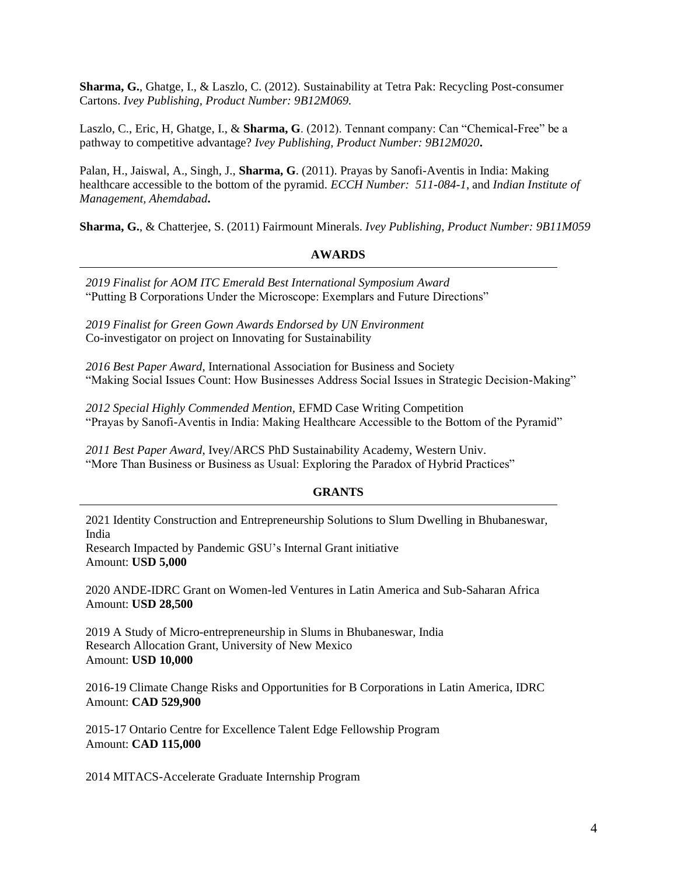**Sharma, G.**, Ghatge, I., & Laszlo, C. (2012). Sustainability at Tetra Pak: Recycling Post-consumer Cartons. *Ivey Publishing, Product Number: 9B12M069.*

Laszlo, C., Eric, H, Ghatge, I., & **Sharma, G**. (2012). Tennant company: Can "Chemical-Free" be a pathway to competitive advantage? *Ivey Publishing, Product Number: 9B12M020***.**

Palan, H., Jaiswal, A., Singh, J., **Sharma, G**. (2011). Prayas by Sanofi-Aventis in India: Making healthcare accessible to the bottom of the pyramid. *ECCH Number: 511-084-1*, and *Indian Institute of Management, Ahemdabad***.**

**Sharma, G.**, & Chatterjee, S. (2011) Fairmount Minerals. *Ivey Publishing*, *Product Number: 9B11M059*

# **AWARDS**

*2019 Finalist for AOM ITC Emerald Best International Symposium Award* "Putting B Corporations Under the Microscope: Exemplars and Future Directions"

*2019 Finalist for Green Gown Awards Endorsed by UN Environment* Co-investigator on project on Innovating for Sustainability

*2016 Best Paper Award*, International Association for Business and Society "Making Social Issues Count: How Businesses Address Social Issues in Strategic Decision-Making"

*2012 Special Highly Commended Mention,* EFMD Case Writing Competition "Prayas by Sanofi-Aventis in India: Making Healthcare Accessible to the Bottom of the Pyramid"

*2011 Best Paper Award*, Ivey/ARCS PhD Sustainability Academy, Western Univ. "More Than Business or Business as Usual: Exploring the Paradox of Hybrid Practices"

# **GRANTS**

2021 Identity Construction and Entrepreneurship Solutions to Slum Dwelling in Bhubaneswar, India Research Impacted by Pandemic GSU's Internal Grant initiative

Amount: **USD 5,000**

2020 ANDE-IDRC Grant on Women-led Ventures in Latin America and Sub-Saharan Africa Amount: **USD 28,500**

2019 A Study of Micro-entrepreneurship in Slums in Bhubaneswar, India Research Allocation Grant, University of New Mexico Amount: **USD 10,000**

2016-19 Climate Change Risks and Opportunities for B Corporations in Latin America, IDRC Amount: **CAD 529,900**

2015-17 Ontario Centre for Excellence Talent Edge Fellowship Program Amount: **CAD 115,000**

2014 MITACS-Accelerate Graduate Internship Program